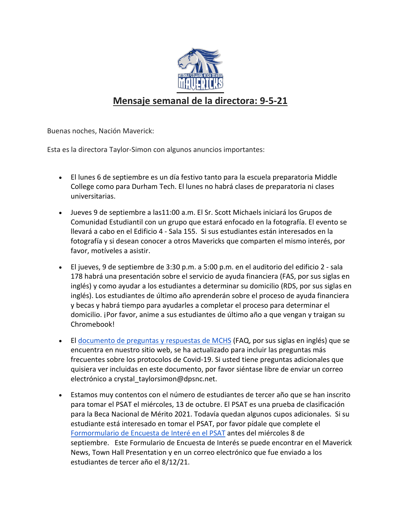

## **Mensaje semanal de la directora: 9-5-21**

Buenas noches, Nación Maverick:

Esta es la directora Taylor-Simon con algunos anuncios importantes:

- El lunes 6 de septiembre es un día festivo tanto para la escuela preparatoria Middle College como para Durham Tech. El lunes no habrá clases de preparatoria ni clases universitarias.
- Jueves 9 de septiembre a las11:00 a.m. El Sr. Scott Michaels iniciará los Grupos de Comunidad Estudiantil con un grupo que estará enfocado en la fotografía. El evento se llevará a cabo en el Edificio 4 - Sala 155. Si sus estudiantes están interesados en la fotografía y si desean conocer a otros Mavericks que comparten el mismo interés, por favor, motíveles a asistir.
- El jueves, 9 de septiembre de 3:30 p.m. a 5:00 p.m. en el auditorio del edificio 2 sala 178 habrá una presentación sobre el servicio de ayuda financiera (FAS, por sus siglas en inglés) y como ayudar a los estudiantes a determinar su domicilio (RDS, por sus siglas en inglés). Los estudiantes de último año aprenderán sobre el proceso de ayuda financiera y becas y habrá tiempo para ayudarles a completar el proceso para determinar el domicilio. ¡Por favor, anime a sus estudiantes de último año a que vengan y traigan su Chromebook!
- El [documento de preguntas y respuestas](https://docs.google.com/document/d/1JZSN5GHim-TbCnrS4QFMEwx7yfZ-c9eCvixnVI_kTT8/edit?usp=sharing) de MCHS (FAQ, por sus siglas en inglés) que se encuentra en nuestro sitio web, se ha actualizado para incluir las preguntas más frecuentes sobre los protocolos de Covid-19. Si usted tiene preguntas adicionales que quisiera ver incluidas en este documento, por favor siéntase libre de enviar un correo electrónico a crystal taylorsimon@dpsnc.net.
- Estamos muy contentos con el número de estudiantes de tercer año que se han inscrito para tomar el PSAT el miércoles, 13 de octubre. El PSAT es una prueba de clasificación para la Beca Nacional de Mérito 2021. Todavía quedan algunos cupos adicionales. Si su estudiante está interesado en tomar el PSAT, por favor pídale que complete e[l](https://forms.gle/srF13EZNDnndDqhRA) [Formo](https://forms.gle/srF13EZNDnndDqhRA)rmulario de Encuesta de Interé en el PSAT antes del miércoles 8 de septiembre. Este Formulario de Encuesta de Interés se puede encontrar en el Maverick News, Town Hall Presentation y en un correo electrónico que fue enviado a los estudiantes de tercer año el 8/12/21.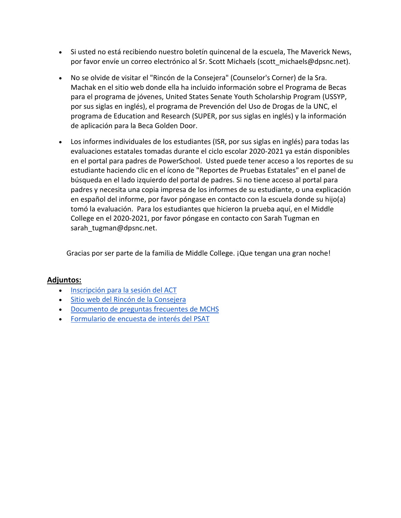- Si usted no está recibiendo nuestro boletín quincenal de la escuela, The Maverick News, por favor envíe un correo electrónico al Sr. Scott Michaels (scott\_michaels@dpsnc.net).
- No se olvide de visitar el "Rincón de la Consejera" (Counselor's Corner) de la Sra. Machak en el sitio web donde ella ha incluido información sobre el Programa de Becas para el programa de jóvenes, United States Senate Youth Scholarship Program (USSYP, por sus siglas en inglés), el programa de Prevención del Uso de Drogas de la UNC, el programa de Education and Research (SUPER, por sus siglas en inglés) y la información de aplicación para la Beca Golden Door.
- Los informes individuales de los estudiantes (ISR, por sus siglas en inglés) para todas las evaluaciones estatales tomadas durante el ciclo escolar 2020-2021 ya están disponibles en el portal para padres de PowerSchool. Usted puede tener acceso a los reportes de su estudiante haciendo clic en el ícono de "Reportes de Pruebas Estatales" en el panel de búsqueda en el lado izquierdo del portal de padres. Si no tiene acceso al portal para padres y necesita una copia impresa de los informes de su estudiante, o una explicación en español del informe, por favor póngase en contacto con la escuela donde su hijo(a) tomó la evaluación. Para los estudiantes que hicieron la prueba aquí, en el Middle College en el 2020-2021, por favor póngase en contacto con Sarah Tugman en sarah\_tugman@dpsnc.net.

Gracias por ser parte de la familia de Middle College. ¡Que tengan una gran noche!

## **Adjuntos:**

- [Inscripción](https://docs.google.com/forms/d/e/1FAIpQLSfDQAD_vr3oUuvw3G3N8Ef7wgE522mWPeakAZb-fXZtt_nvwA/viewform) para la sesión del ACT
- Sitio web del Rincón de la [Consejera](https://www.dpsnc.net/domain/2063)
- [Documento](https://docs.google.com/document/d/1JZSN5GHim-TbCnrS4QFMEwx7yfZ-c9eCvixnVI_kTT8/edit?usp=sharing) de preguntas frecuentes de MCHS
- [Formulario](https://forms.gle/srF13EZNDnndDqhRA) de encuesta de interés del PSAT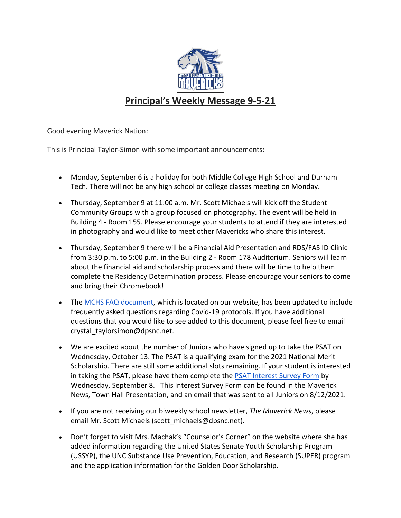

## **Principal's Weekly Message 9-5-21**

Good evening Maverick Nation:

This is Principal Taylor-Simon with some important announcements:

- Monday, September 6 is a holiday for both Middle College High School and Durham Tech. There will not be any high school or college classes meeting on Monday.
- Thursday, September 9 at 11:00 a.m. Mr. Scott Michaels will kick off the Student Community Groups with a group focused on photography. The event will be held in Building 4 - Room 155. Please encourage your students to attend if they are interested in photography and would like to meet other Mavericks who share this interest.
- Thursday, September 9 there will be a Financial Aid Presentation and RDS/FAS ID Clinic from 3:30 p.m. to 5:00 p.m. in the Building 2 - Room 178 Auditorium. Seniors will learn about the financial aid and scholarship process and there will be time to help them complete the Residency Determination process. Please encourage your seniors to come and bring their Chromebook!
- The [MCHS FAQ document,](https://docs.google.com/document/d/1JZSN5GHim-TbCnrS4QFMEwx7yfZ-c9eCvixnVI_kTT8/edit?usp=sharing) which is located on our website, has been updated to include frequently asked questions regarding Covid-19 protocols. If you have additional questions that you would like to see added to this document, please feel free to email crystal\_taylorsimon@dpsnc.net.
- We are excited about the number of Juniors who have signed up to take the PSAT on Wednesday, October 13. The PSAT is a qualifying exam for the 2021 National Merit Scholarship. There are still some additional slots remaining. If your student is interested in taking the PSAT, please have them complete the [PSAT Interest Survey Form](https://forms.gle/srF13EZNDnndDqhRA) by Wednesday, September 8. This Interest Survey Form can be found in the Maverick News, Town Hall Presentation, and an email that was sent to all Juniors on 8/12/2021.
- If you are not receiving our biweekly school newsletter, *The Maverick News*, please email Mr. Scott Michaels (scott\_michaels@dpsnc.net).
- Don't forget to visit Mrs. Machak's "Counselor's Corner" on the website where she has added information regarding the United States Senate Youth Scholarship Program (USSYP), the UNC Substance Use Prevention, Education, and Research (SUPER) program and the application information for the Golden Door Scholarship.